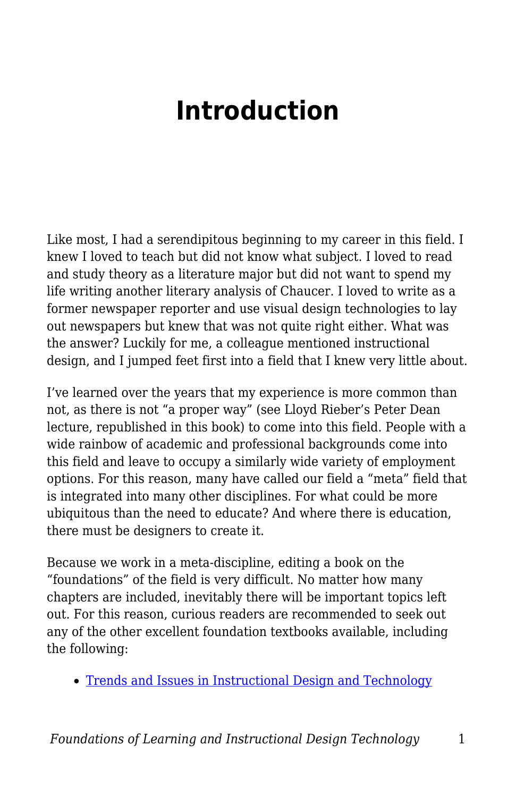# **Introduction**

Like most, I had a serendipitous beginning to my career in this field. I knew I loved to teach but did not know what subject. I loved to read and study theory as a literature major but did not want to spend my life writing another literary analysis of Chaucer. I loved to write as a former newspaper reporter and use visual design technologies to lay out newspapers but knew that was not quite right either. What was the answer? Luckily for me, a colleague mentioned instructional design, and I jumped feet first into a field that I knew very little about.

I've learned over the years that my experience is more common than not, as there is not "a proper way" (see Lloyd Rieber's Peter Dean lecture, republished in this book) to come into this field. People with a wide rainbow of academic and professional backgrounds come into this field and leave to occupy a similarly wide variety of employment options. For this reason, many have called our field a "meta" field that is integrated into many other disciplines. For what could be more ubiquitous than the need to educate? And where there is education, there must be designers to create it.

Because we work in a meta-discipline, editing a book on the "foundations" of the field is very difficult. No matter how many chapters are included, inevitably there will be important topics left out. For this reason, curious readers are recommended to seek out any of the other excellent foundation textbooks available, including the following:

• [Trends and Issues in Instructional Design and Technology](https://www.amazon.com/Instructional-Technology-Published-Pearson-Paperback/dp/B00HMVIAIE/ref=sr_1_1?ie=UTF8&qid=1469513000&sr=8-1&keywords=trends+and+issues+instructional+design)

*Foundations of Learning and Instructional Design Technology* 1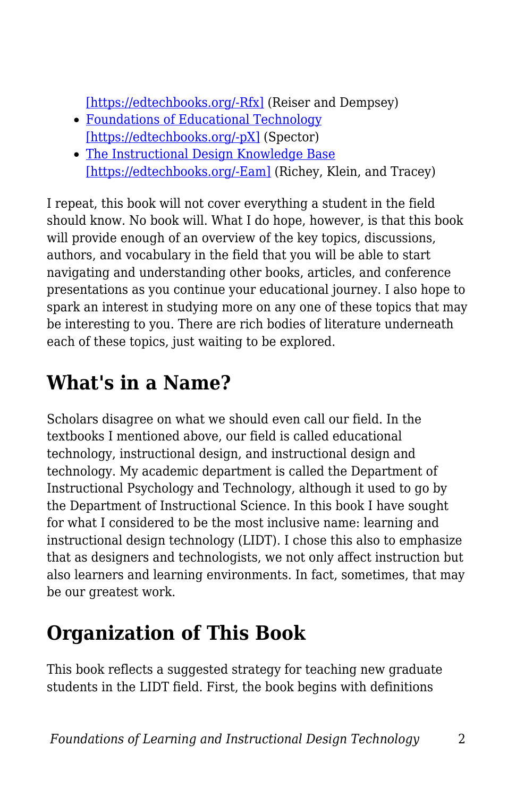[\[https://edtechbooks.org/-Rfx\]](https://www.amazon.com/Instructional-Technology-Published-Pearson-Paperback/dp/B00HMVIAIE/ref=sr_1_1?ie=UTF8&qid=1469513000&sr=8-1&keywords=trends+and+issues+instructional+design) (Reiser and Dempsey)

- [Foundations of Educational Technology](https://www.amazon.com/Foundations-Educational-Technology-Interdisciplinary-Perspectives/dp/1138790281/ref=sr_1_1?ie=UTF8&qid=1469513039&sr=8-1&keywords=foundations+instructional+technology) [\[https://edtechbooks.org/-pX\]](https://www.amazon.com/Foundations-Educational-Technology-Interdisciplinary-Perspectives/dp/1138790281/ref=sr_1_1?ie=UTF8&qid=1469513039&sr=8-1&keywords=foundations+instructional+technology) (Spector)
- [The Instructional Design Knowledge Base](https://www.amazon.com/Instructional-Design-Knowledge-Base-Research-ebook/dp/B004OBZXZ8/ref=sr_1_1?ie=UTF8&qid=1469513080&sr=8-1&keywords=klein+tracey+richey#nav-subnav) [\[https://edtechbooks.org/-Eam\]](https://www.amazon.com/Instructional-Design-Knowledge-Base-Research-ebook/dp/B004OBZXZ8/ref=sr_1_1?ie=UTF8&qid=1469513080&sr=8-1&keywords=klein+tracey+richey#nav-subnav) (Richey, Klein, and Tracey)

I repeat, this book will not cover everything a student in the field should know. No book will. What I do hope, however, is that this book will provide enough of an overview of the key topics, discussions, authors, and vocabulary in the field that you will be able to start navigating and understanding other books, articles, and conference presentations as you continue your educational journey. I also hope to spark an interest in studying more on any one of these topics that may be interesting to you. There are rich bodies of literature underneath each of these topics, just waiting to be explored.

# **What's in a Name?**

Scholars disagree on what we should even call our field. In the textbooks I mentioned above, our field is called educational technology, instructional design, and instructional design and technology. My academic department is called the Department of Instructional Psychology and Technology, although it used to go by the Department of Instructional Science. In this book I have sought for what I considered to be the most inclusive name: learning and instructional design technology (LIDT). I chose this also to emphasize that as designers and technologists, we not only affect instruction but also learners and learning environments. In fact, sometimes, that may be our greatest work.

# **Organization of This Book**

This book reflects a suggested strategy for teaching new graduate students in the LIDT field. First, the book begins with definitions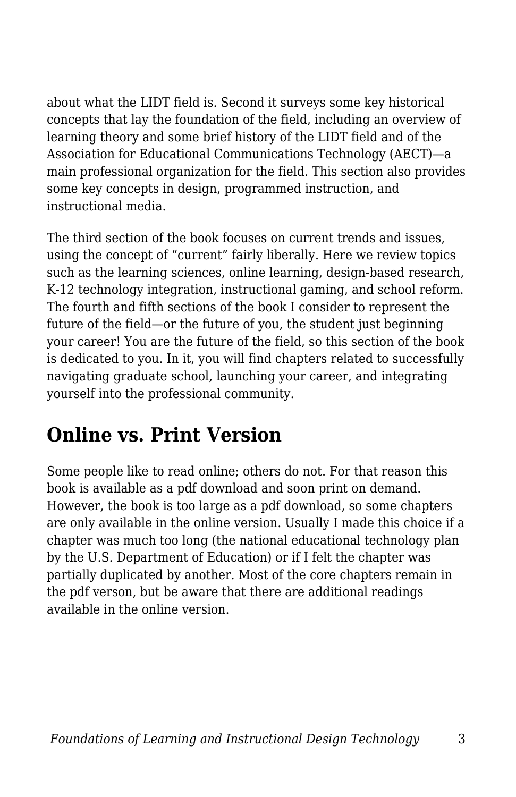about what the LIDT field is. Second it surveys some key historical concepts that lay the foundation of the field, including an overview of learning theory and some brief history of the LIDT field and of the Association for Educational Communications Technology (AECT)—a main professional organization for the field. This section also provides some key concepts in design, programmed instruction, and instructional media.

The third section of the book focuses on current trends and issues, using the concept of "current" fairly liberally. Here we review topics such as the learning sciences, online learning, design-based research, K-12 technology integration, instructional gaming, and school reform. The fourth and fifth sections of the book I consider to represent the future of the field—or the future of you, the student just beginning your career! You are the future of the field, so this section of the book is dedicated to you. In it, you will find chapters related to successfully navigating graduate school, launching your career, and integrating yourself into the professional community.

### **Online vs. Print Version**

Some people like to read online; others do not. For that reason this book is available as a pdf download and soon print on demand. However, the book is too large as a pdf download, so some chapters are only available in the online version. Usually I made this choice if a chapter was much too long (the national educational technology plan by the U.S. Department of Education) or if I felt the chapter was partially duplicated by another. Most of the core chapters remain in the pdf verson, but be aware that there are additional readings available in the online version.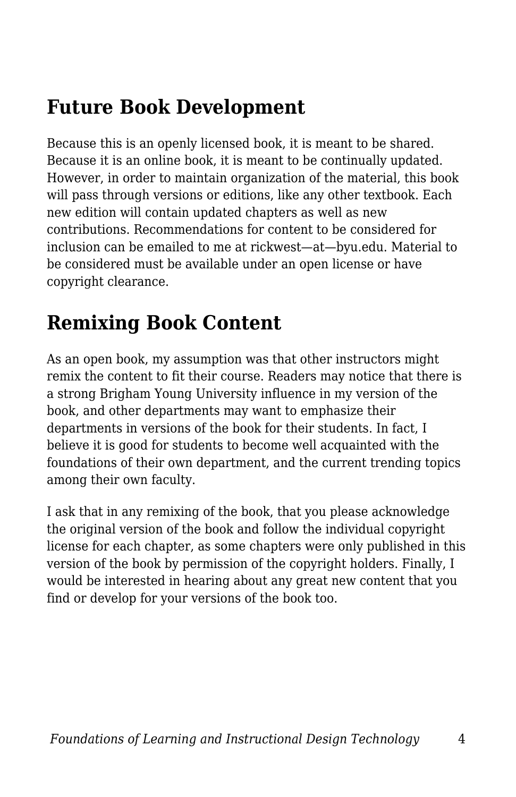### **Future Book Development**

Because this is an openly licensed book, it is meant to be shared. Because it is an online book, it is meant to be continually updated. However, in order to maintain organization of the material, this book will pass through versions or editions, like any other textbook. Each new edition will contain updated chapters as well as new contributions. Recommendations for content to be considered for inclusion can be emailed to me at rickwest—at—byu.edu. Material to be considered must be available under an open license or have copyright clearance.

### **Remixing Book Content**

As an open book, my assumption was that other instructors might remix the content to fit their course. Readers may notice that there is a strong Brigham Young University influence in my version of the book, and other departments may want to emphasize their departments in versions of the book for their students. In fact, I believe it is good for students to become well acquainted with the foundations of their own department, and the current trending topics among their own faculty.

I ask that in any remixing of the book, that you please acknowledge the original version of the book and follow the individual copyright license for each chapter, as some chapters were only published in this version of the book by permission of the copyright holders. Finally, I would be interested in hearing about any great new content that you find or develop for your versions of the book too.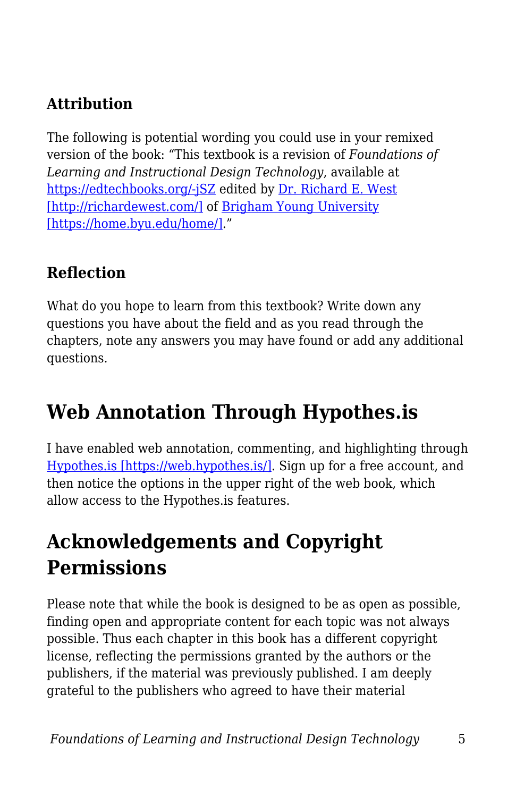#### **Attribution**

The following is potential wording you could use in your remixed version of the book: "This textbook is a revision of *Foundations of Learning and Instructional Design Technology*, available at [https://edtechbooks.org/-jSZ](https://edtechbooks.org/lidtfoundations,) edited by [Dr. Richard E. West](http://richardewest.com/) [\[http://richardewest.com/\]](http://richardewest.com/) of [Brigham Young University](https://home.byu.edu/home/) [\[https://home.byu.edu/home/\].](https://home.byu.edu/home/)"

#### **Reflection**

What do you hope to learn from this textbook? Write down any questions you have about the field and as you read through the chapters, note any answers you may have found or add any additional questions.

### **Web Annotation Through Hypothes.is**

I have enabled web annotation, commenting, and highlighting through [Hypothes.is \[https://web.hypothes.is/\].](https://web.hypothes.is/) Sign up for a free account, and then notice the options in the upper right of the web book, which allow access to the Hypothes.is features.

### **Acknowledgements and Copyright Permissions**

Please note that while the book is designed to be as open as possible, finding open and appropriate content for each topic was not always possible. Thus each chapter in this book has a different copyright license, reflecting the permissions granted by the authors or the publishers, if the material was previously published. I am deeply grateful to the publishers who agreed to have their material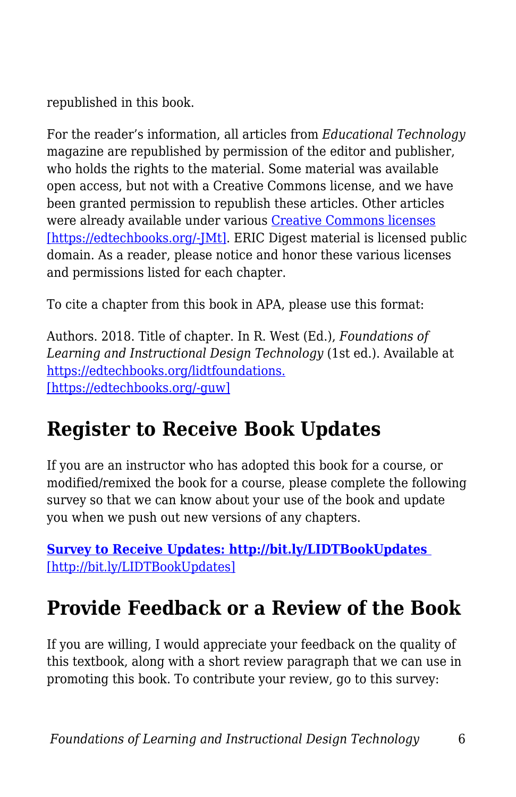republished in this book.

For the reader's information, all articles from *Educational Technology* magazine are republished by permission of the editor and publisher, who holds the rights to the material. Some material was available open access, but not with a Creative Commons license, and we have been granted permission to republish these articles. Other articles were already available under various [Creative Commons licenses](https://creativecommons.org/share-your-work/licensing-types-examples/) [\[https://edtechbooks.org/-JMt\].](https://creativecommons.org/share-your-work/licensing-types-examples/) ERIC Digest material is licensed public domain. As a reader, please notice and honor these various licenses and permissions listed for each chapter.

To cite a chapter from this book in APA, please use this format:

Authors. 2018. Title of chapter. In R. West (Ed.), *Foundations of Learning and Instructional Design Technology* (1st ed.). Available at [https://edtechbooks.org/lidtfoundations.](https://edtechbooks.org/lidtfoundations/) [\[https://edtechbooks.org/-guw\]](https://edtechbooks.org/lidtfoundations/)

### **Register to Receive Book Updates**

If you are an instructor who has adopted this book for a course, or modified/remixed the book for a course, please complete the following survey so that we can know about your use of the book and update you when we push out new versions of any chapters.

**[Survey to Receive Updates: http://bit.ly/LIDTBookUpdates](http://bit.ly/LIDTBookUpdates)**  [\[http://bit.ly/LIDTBookUpdates\]](http://bit.ly/LIDTBookUpdates)

### **Provide Feedback or a Review of the Book**

If you are willing, I would appreciate your feedback on the quality of this textbook, along with a short review paragraph that we can use in promoting this book. To contribute your review, go to this survey: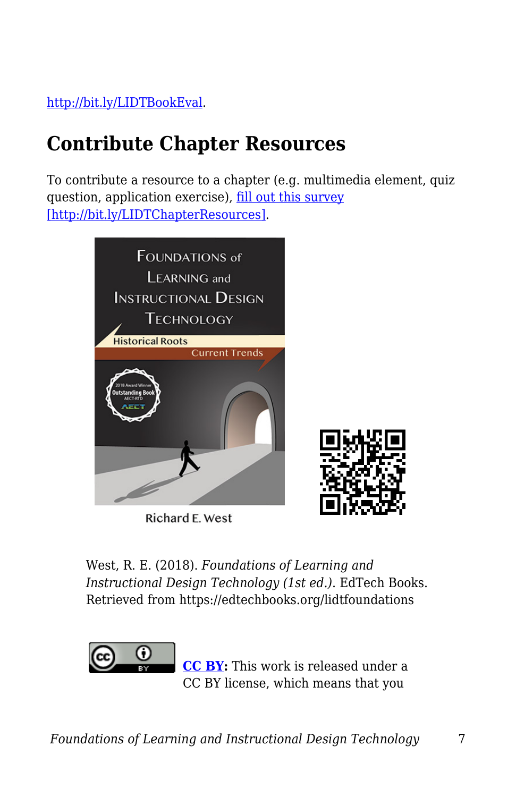[http://bit.ly/LIDTBookEval.](http://bit.ly/LIDTBookEval)

# **Contribute Chapter Resources**

To contribute a resource to a chapter (e.g. multimedia element, quiz question, application exercise), [fill out this survey](http://bit.ly/LIDTChapterResources) [\[http://bit.ly/LIDTChapterResources\].](http://bit.ly/LIDTChapterResources)



Richard E. West

West, R. E. (2018). *Foundations of Learning and Instructional Design Technology (1st ed.)*. EdTech Books. Retrieved from https://edtechbooks.org/lidtfoundations



**[CC BY:](https://creativecommons.org/licenses/by/4.0)** This work is released under a CC BY license, which means that you